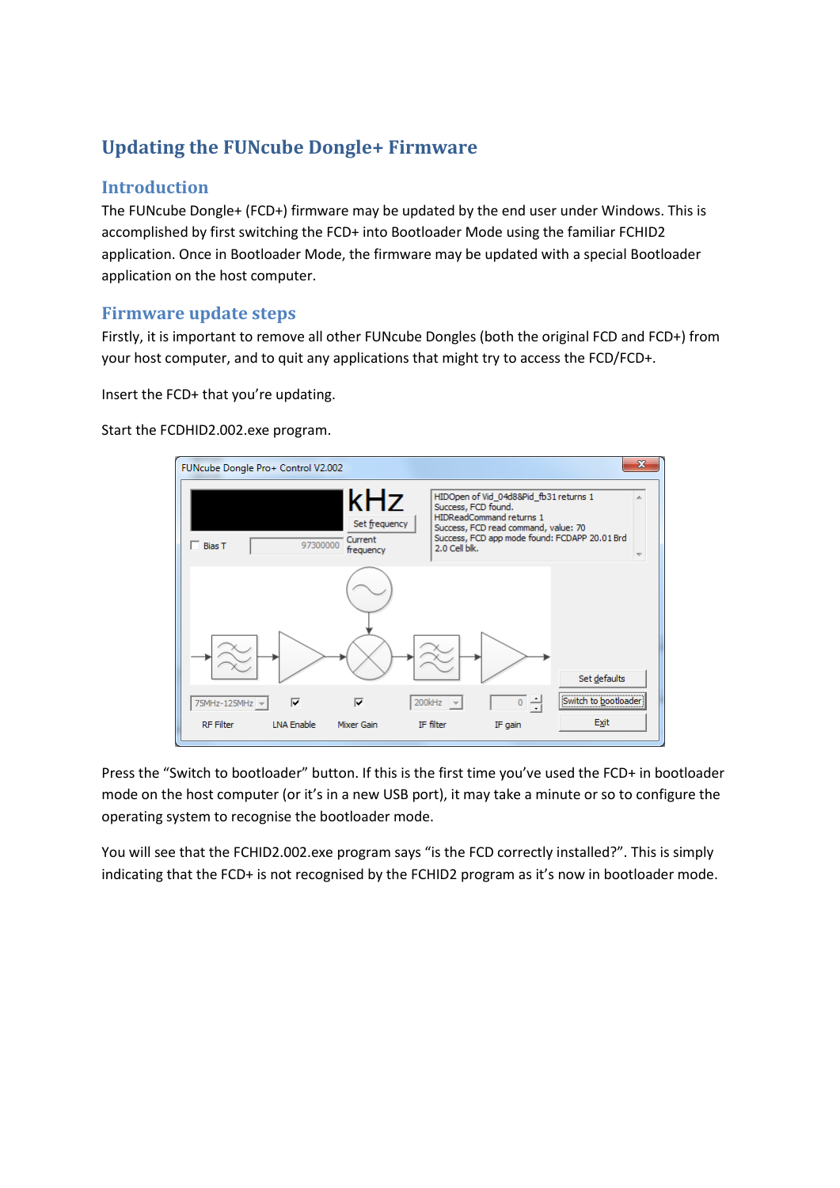## **Updating the FUNcube Dongle+ Firmware**

## **Introduction**

The FUNcube Dongle+ (FCD+) firmware may be updated by the end user under Windows. This is accomplished by first switching the FCD+ into Bootloader Mode using the familiar FCHID2 application. Once in Bootloader Mode, the firmware may be updated with a special Bootloader application on the host computer.

## **Firmware update steps**

Firstly, it is important to remove all other FUNcube Dongles (both the original FCD and FCD+) from your host computer, and to quit any applications that might try to access the FCD/FCD+.

Insert the FCD+ that you're updating.

Start the FCDHID2.002.exe program.



Press the "Switch to bootloader" button. If this is the first time you've used the FCD+ in bootloader mode on the host computer (or it's in a new USB port), it may take a minute or so to configure the operating system to recognise the bootloader mode.

You will see that the FCHID2.002.exe program says "is the FCD correctly installed?". This is simply indicating that the FCD+ is not recognised by the FCHID2 program as it's now in bootloader mode.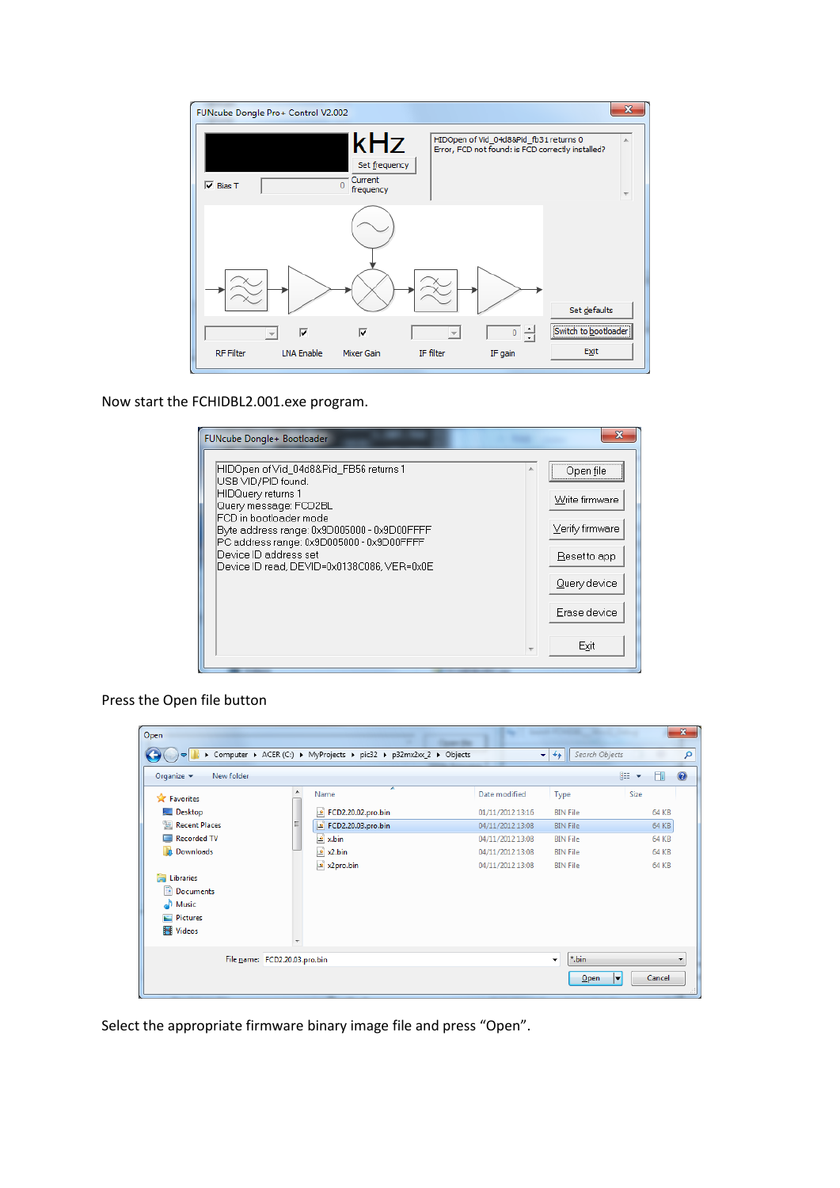

Now start the FCHIDBL2.001.exe program.

| FUNcube Dongle+ Bootloader                                                                                                                                                                                                                                                                               |                                                                                                        |
|----------------------------------------------------------------------------------------------------------------------------------------------------------------------------------------------------------------------------------------------------------------------------------------------------------|--------------------------------------------------------------------------------------------------------|
| HIDOpen of Vid_04d8&Pid_FB56 returns 1<br>USB VID/PID found.<br>HIDQuery returns 1<br>Query message: FCD2BL<br>FCD in bootloader mode<br>Byte address range: 0x9D005000 - 0x9D00FFFF<br>PC address range: 0x9D005000 - 0x9D00FFFF<br>Device ID address set<br>Device ID read, DEVID=0x0138C086, VER=0x0E | Open file<br>Write firmware<br>Verify firmware<br>Reset to app<br>Query device<br>Erase device<br>Exit |

Press the Open file button

| Open                                        |                               |                                                                    |                  |                                             |                               | $\mathbf{x}$ |
|---------------------------------------------|-------------------------------|--------------------------------------------------------------------|------------------|---------------------------------------------|-------------------------------|--------------|
|                                             |                               | > Computer > ACER (C:) > MyProjects > pic32 > p32mx2xx_2 > Objects |                  | Search Objects<br>$\mathbf{v}$ $\mathbf{t}$ |                               | م            |
| Organize $\blacktriangledown$<br>New folder |                               |                                                                    |                  |                                             | 睚<br>$\overline{\phantom{a}}$ | $\odot$      |
| <b>X</b> Favorites                          | ▲                             | ≖<br>Name                                                          | Date modified    | Type                                        | Size                          |              |
| Desktop                                     |                               | <b>E</b> FCD2.20.02.pro.bin                                        | 01/11/2012 13:16 | <b>BIN File</b>                             | 64 KB                         |              |
| 图 Recent Places                             | Ξ                             | <b>E</b> FCD2.20.03.pro.bin                                        | 04/11/2012 13:08 | <b>BIN File</b>                             | 64 KB                         |              |
| Recorded TV                                 |                               | $\frac{16}{2}$ x.bin                                               | 04/11/2012 13:08 | <b>BIN File</b>                             | 64 KB                         |              |
| <b>Downloads</b>                            |                               | $\approx$ x2.bin                                                   | 04/11/2012 13:08 | <b>BIN File</b>                             | <b>64 KB</b>                  |              |
|                                             |                               | $\approx$ x2pro.bin                                                | 04/11/2012 13:08 | <b>BIN File</b>                             | <b>64 KB</b>                  |              |
| Ħ<br>Libraries                              |                               |                                                                    |                  |                                             |                               |              |
| Documents<br>E                              |                               |                                                                    |                  |                                             |                               |              |
| Music                                       |                               |                                                                    |                  |                                             |                               |              |
| Pictures                                    |                               |                                                                    |                  |                                             |                               |              |
| Videos                                      |                               |                                                                    |                  |                                             |                               |              |
|                                             |                               |                                                                    |                  |                                             |                               |              |
|                                             | File name: FCD2.20.03.pro.bin |                                                                    |                  | *.bin<br>$\overline{\phantom{a}}$           |                               | ▼            |
|                                             |                               |                                                                    |                  | Open                                        | Cancel<br>≂                   |              |
|                                             |                               |                                                                    |                  |                                             |                               |              |

Select the appropriate firmware binary image file and press "Open".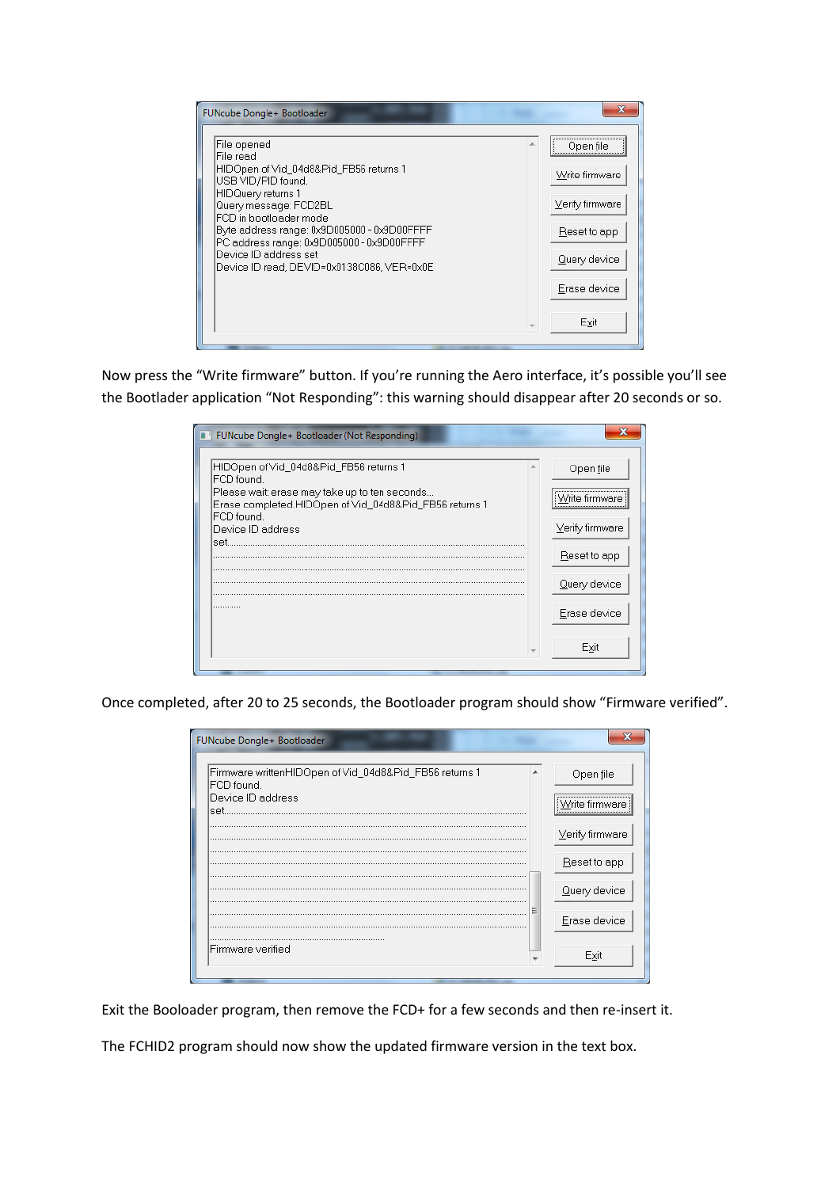| FUNcube Dongle+ Bootloader                                                                                                                                                                                                                                                                                                            |                                                                                                        |
|---------------------------------------------------------------------------------------------------------------------------------------------------------------------------------------------------------------------------------------------------------------------------------------------------------------------------------------|--------------------------------------------------------------------------------------------------------|
| File opened<br>File read<br>HIDOpen of Vid_04d8&Pid_FB56 returns 1<br>USB VID/PID found.<br>HIDQuery returns 1<br>Query message: FCD2BL<br>FCD in bootloader mode.<br>Byte address range: 0x9D005000 - 0x9D00FFFF<br>PC address range: 0x9D005000 - 0x9D00FFFF<br>Device ID address set<br>Device ID read, DEVID=0x0138C086, VER=0x0E | Open file<br>Write firmware<br>Verify firmware<br>Reset to app<br>Query device<br>Erase device<br>Exit |

Now press the "Write firmware" button. If you're running the Aero interface, it's possible you'll see the Bootlader application "Not Responding": this warning should disappear after 20 seconds or so.

| FUNcube Dongle+ Bootloader (Not Responding)                                                             |                 |
|---------------------------------------------------------------------------------------------------------|-----------------|
| HIDOpen of Vid_04d8&Pid_FB56 returns 1 <br>FCD found.                                                   | Open file       |
| Please wait: erase may take up to ten seconds<br>Erase completed.HIDOpen of Vid_04d8&Pid_FB56 returns 1 | Write firmware  |
| IFCD found.<br>Device ID address<br>set                                                                 | Verify firmware |
|                                                                                                         | Reset to app    |
|                                                                                                         | Query device    |
|                                                                                                         | Erase device    |
|                                                                                                         | Exit            |
|                                                                                                         |                 |

Once completed, after 20 to 25 seconds, the Bootloader program should show "Firmware verified".

| FUNcube Dongle+ Bootloader                                           |                 |
|----------------------------------------------------------------------|-----------------|
| Firmware writtenHIDOpen of Vid_04d8&Pid_FB56 returns 1<br>FCD found. | Open file       |
| Device ID address                                                    | Write firmware  |
| lset.                                                                |                 |
|                                                                      | Verify firmware |
|                                                                      | Reset to app    |
|                                                                      | Query device    |
|                                                                      |                 |
|                                                                      | Erase device    |
| Firmware verified                                                    | Exit            |

Exit the Booloader program, then remove the FCD+ for a few seconds and then re-insert it.

The FCHID2 program should now show the updated firmware version in the text box.